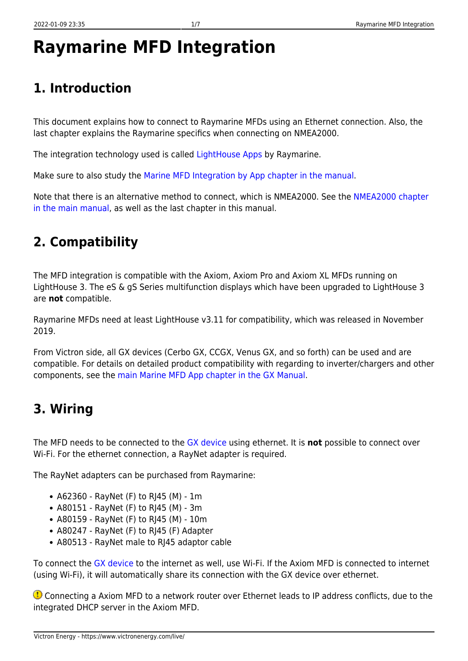# **Raymarine MFD Integration**

## **1. Introduction**

This document explains how to connect to Raymarine MFDs using an Ethernet connection. Also, the last chapter explains the Raymarine specifics when connecting on NMEA2000.

The integration technology used is called [LightHouse Apps](http://www.raymarine.com/multifunction-displays/lighthouse3/lighthouse-apps.html) by Raymarine.

Make sure to also study the [Marine MFD Integration by App chapter in the manual](https://www.victronenergy.com/live/ccgx:start#marine_mfd_integration_by_app).

Note that there is an alternative method to connect, which is NMEA2000. See the [NMEA2000 chapter](https://www.victronenergy.com/live/ccgx:start#marine_mfd_integration_by_nmea_2000) [in the main manual,](https://www.victronenergy.com/live/ccgx:start#marine_mfd_integration_by_nmea_2000) as well as the last chapter in this manual.

#### **2. Compatibility**

The MFD integration is compatible with the Axiom, Axiom Pro and Axiom XL MFDs running on LightHouse 3. The eS & gS Series multifunction displays which have been upgraded to LightHouse 3 are **not** compatible.

Raymarine MFDs need at least LightHouse v3.11 for compatibility, which was released in November 2019.

From Victron side, all GX devices (Cerbo GX, CCGX, Venus GX, and so forth) can be used and are compatible. For details on detailed product compatibility with regarding to inverter/chargers and other components, see the [main Marine MFD App chapter in the GX Manual](https://www.victronenergy.com/live/ccgx:start#marine_mfd_integration_by_app).

### **3. Wiring**

The MFD needs to be connected to the [GX device](https://www.victronenergy.com/live/venus-os:start) using ethernet. It is **not** possible to connect over Wi-Fi. For the ethernet connection, a RayNet adapter is required.

The RayNet adapters can be purchased from Raymarine:

- A62360 RayNet (F) to RJ45 (M) 1m
- A80151 RayNet (F) to RJ45 (M) 3m
- A80159 RayNet (F) to RJ45 (M) 10m
- A80247 RayNet (F) to RJ45 (F) Adapter
- A80513 RayNet male to RJ45 adaptor cable

To connect the [GX device](https://www.victronenergy.com/live/venus-os:start) to the internet as well, use Wi-Fi. If the Axiom MFD is connected to internet (using Wi-Fi), it will automatically share its connection with the GX device over ethernet.

**Connecting a Axiom MFD to a network router over Ethernet leads to IP address conflicts, due to the** integrated DHCP server in the Axiom MFD.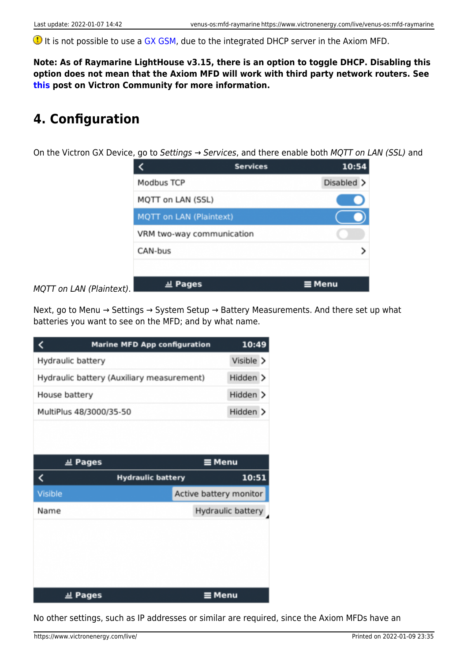**I** It is not possible to use a [GX GSM,](https://www.victronenergy.com/accessories/gx-gsm) due to the integrated DHCP server in the Axiom MFD.

**Note: As of Raymarine LightHouse v3.15, there is an option to toggle DHCP. Disabling this option does not mean that the Axiom MFD will work with third party network routers. See [this](https://community.victronenergy.com/questions/45414/raymarine-victron-app.html?childToView=114335#comment-114335) post on Victron Community for more information.**

### **4. Configuration**

On the Victron GX Device, go to Settings  $\rightarrow$  Services, and there enable both MQTT on LAN (SSL) and

|                                | 10:54<br><b>Services</b> |
|--------------------------------|--------------------------|
| Modbus TCP                     | Disabled >               |
| MQTT on LAN (SSL)              |                          |
| <b>MQTT on LAN (Plaintext)</b> |                          |
| VRM two-way communication      |                          |
| CAN-bus                        |                          |
|                                |                          |
| <u>교</u> Pages                 | $\equiv$ Menu            |

MQTT on LAN (Plaintext).

Next, go to Menu → Settings → System Setup → Battery Measurements. And there set up what batteries you want to see on the MFD; and by what name.

| <b>Marine MFD App configuration</b>       | 10:49     |                        |
|-------------------------------------------|-----------|------------------------|
| Hydraulic battery                         | Visible > |                        |
| Hydraulic battery (Auxiliary measurement) |           | Hidden >               |
| House battery                             |           | Hidden >               |
| MultiPlus 48/3000/35-50                   |           | Hidden >               |
|                                           |           |                        |
| <b>교 Pages</b>                            |           | $\equiv$ Menu          |
| <<br><b>Hydraulic battery</b>             |           | 10:51                  |
| <b>Visible</b>                            |           | Active battery monitor |
| Name                                      |           | Hydraulic battery      |
|                                           |           |                        |
|                                           |           |                        |
|                                           |           |                        |
| 교 Pages                                   |           | ≡ Menu                 |

No other settings, such as IP addresses or similar are required, since the Axiom MFDs have an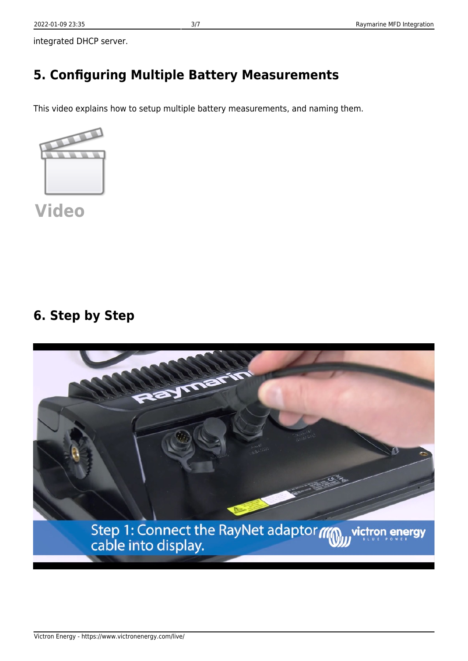integrated DHCP server.

### **5. Configuring Multiple Battery Measurements**

This video explains how to setup multiple battery measurements, and naming them.



**[Video](https://www.youtube-nocookie.com/embed/0Mrk5Q4izvg)**

#### **6. Step by Step**

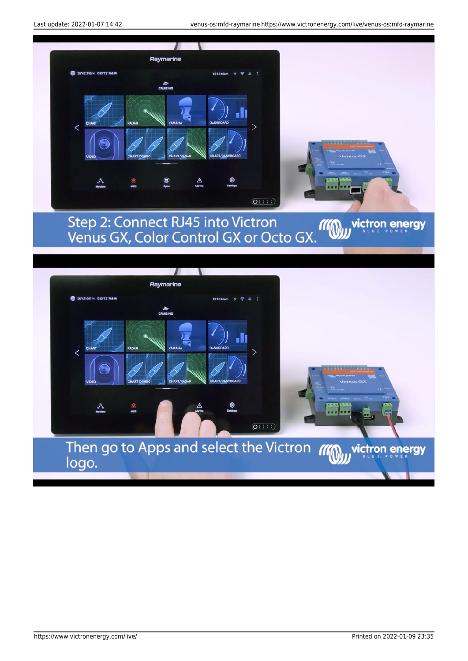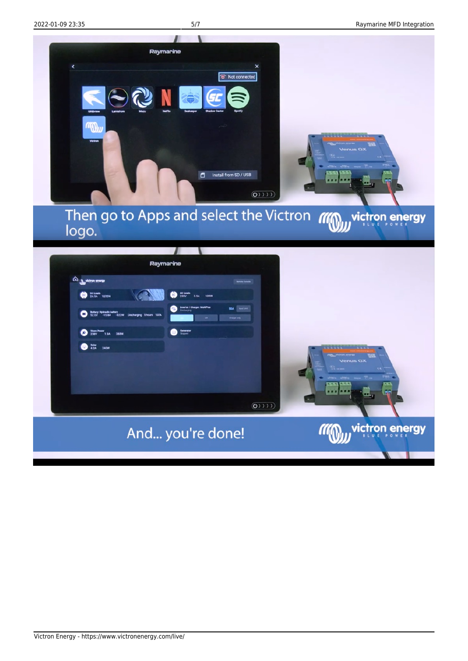

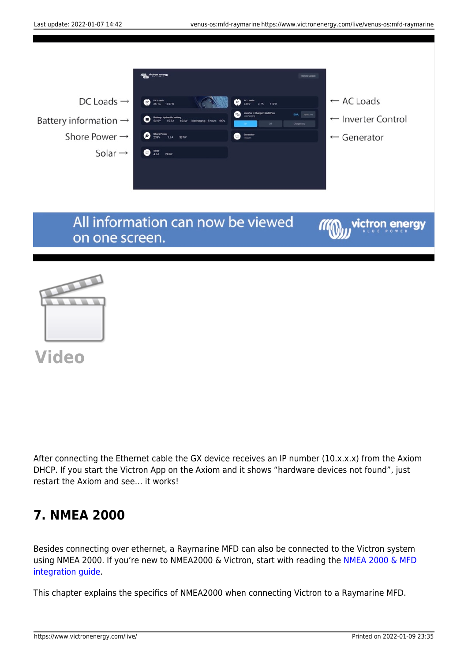

**[Video](https://www.youtube-nocookie.com/embed/dAfJy5d_vcA)**

After connecting the Ethernet cable the GX device receives an IP number (10.x.x.x) from the Axiom DHCP. If you start the Victron App on the Axiom and it shows "hardware devices not found", just restart the Axiom and see… it works!

#### **7. NMEA 2000**

Besides connecting over ethernet, a Raymarine MFD can also be connected to the Victron system using NMEA 2000. If you're new to NMEA2000 & Victron, start with reading the [NMEA 2000 & MFD](https://www.victronenergy.com/live/ve.can:nmea-2000:start) [integration guide.](https://www.victronenergy.com/live/ve.can:nmea-2000:start)

This chapter explains the specifics of NMEA2000 when connecting Victron to a Raymarine MFD.